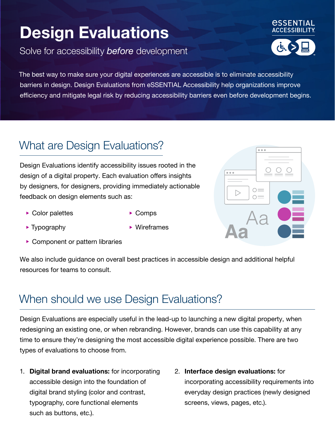# **Design Evaluations**

Solve for accessibility *before* development



The best way to make sure your digital experiences are accessible is to eliminate accessibility barriers in design. Design Evaluations from eSSENTIAL Accessibility help organizations improve efficiency and mitigate legal risk by reducing accessibility barriers even before development begins.

## What are Design Evaluations?

Design Evaluations identify accessibility issues rooted in the design of a digital property. Each evaluation offers insights by designers, for designers, providing immediately actionable feedback on design elements such as:

▶ Color palettes

• Comps

• Typography

- Wireframes
- Component or pattern libraries

We also include guidance on overall best practices in accessible design and additional helpful resources for teams to consult.

### When should we use Design Evaluations?

Design Evaluations are especially useful in the lead-up to launching a new digital property, when redesigning an existing one, or when rebranding. However, brands can use this capability at any time to ensure they're designing the most accessible digital experience possible. There are two types of evaluations to choose from.

- 1. **Digital brand evaluations:** for incorporating accessible design into the foundation of digital brand styling (color and contrast, typography, core functional elements such as buttons, etc.).
- 2. **Interface design evaluations:** for incorporating accessibility requirements into everyday design practices (newly designed screens, views, pages, etc.).